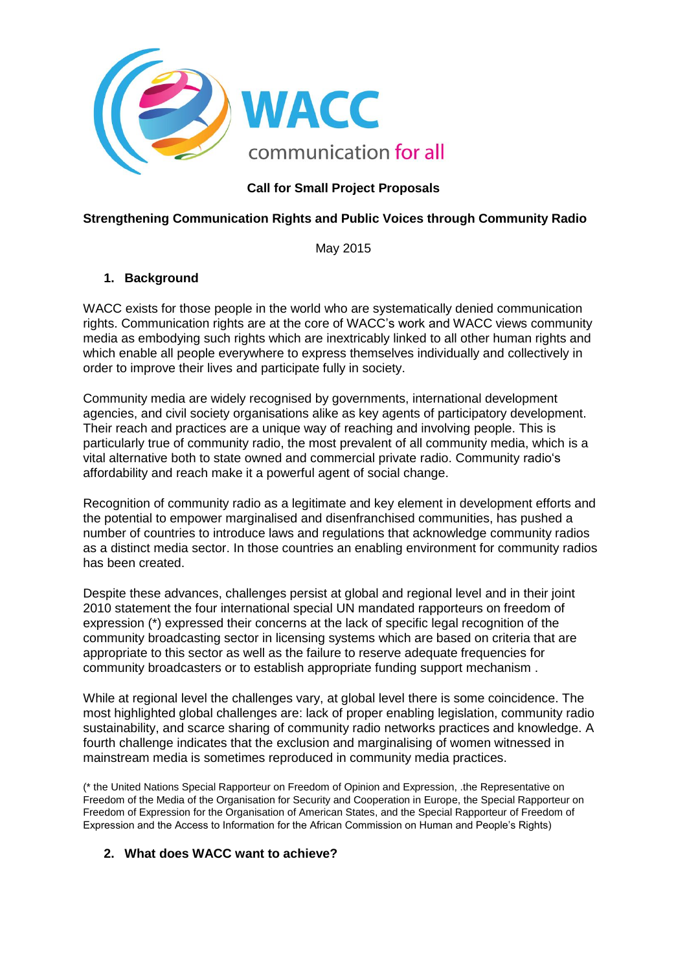

## **Call for Small Project Proposals**

## **Strengthening Communication Rights and Public Voices through Community Radio**

May 2015

## **1. Background**

WACC exists for those people in the world who are systematically denied communication rights. Communication rights are at the core of WACC's work and WACC views community media as embodying such rights which are inextricably linked to all other human rights and which enable all people everywhere to express themselves individually and collectively in order to improve their lives and participate fully in society.

Community media are widely recognised by governments, international development agencies, and civil society organisations alike as key agents of participatory development. Their reach and practices are a unique way of reaching and involving people. This is particularly true of community radio, the most prevalent of all community media, which is a vital alternative both to state owned and commercial private radio. Community radio's affordability and reach make it a powerful agent of social change.

Recognition of community radio as a legitimate and key element in development efforts and the potential to empower marginalised and disenfranchised communities, has pushed a number of countries to introduce laws and regulations that acknowledge community radios as a distinct media sector. In those countries an enabling environment for community radios has been created.

Despite these advances, challenges persist at global and regional level and in their joint 2010 statement the four international special UN mandated rapporteurs on freedom of expression (\*) expressed their concerns at the lack of specific legal recognition of the community broadcasting sector in licensing systems which are based on criteria that are appropriate to this sector as well as the failure to reserve adequate frequencies for community broadcasters or to establish appropriate funding support mechanism .

While at regional level the challenges vary, at global level there is some coincidence. The most highlighted global challenges are: lack of proper enabling legislation, community radio sustainability, and scarce sharing of community radio networks practices and knowledge. A fourth challenge indicates that the exclusion and marginalising of women witnessed in mainstream media is sometimes reproduced in community media practices.

(\* the United Nations Special Rapporteur on Freedom of Opinion and Expression, .the Representative on Freedom of the Media of the Organisation for Security and Cooperation in Europe, the Special Rapporteur on Freedom of Expression for the Organisation of American States, and the Special Rapporteur of Freedom of Expression and the Access to Information for the African Commission on Human and People's Rights)

#### **2. What does WACC want to achieve?**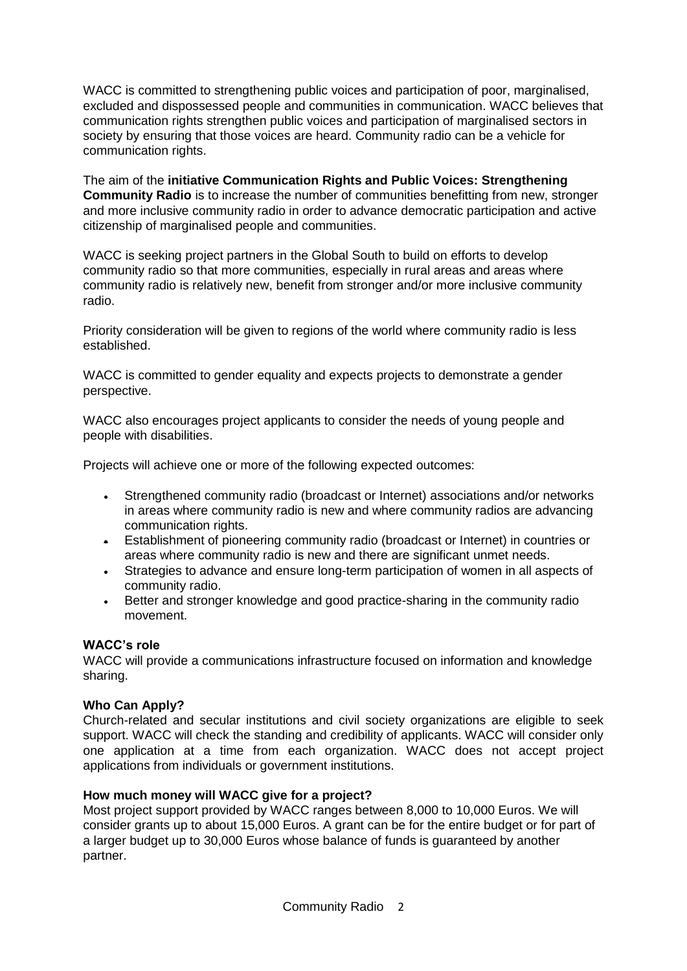WACC is committed to strengthening public voices and participation of poor, marginalised, excluded and dispossessed people and communities in communication. WACC believes that communication rights strengthen public voices and participation of marginalised sectors in society by ensuring that those voices are heard. Community radio can be a vehicle for communication rights.

The aim of the **initiative Communication Rights and Public Voices: Strengthening Community Radio** is to increase the number of communities benefitting from new, stronger and more inclusive community radio in order to advance democratic participation and active citizenship of marginalised people and communities.

WACC is seeking project partners in the Global South to build on efforts to develop community radio so that more communities, especially in rural areas and areas where community radio is relatively new, benefit from stronger and/or more inclusive community radio.

Priority consideration will be given to regions of the world where community radio is less established.

WACC is committed to gender equality and expects projects to demonstrate a gender perspective.

WACC also encourages project applicants to consider the needs of young people and people with disabilities.

Projects will achieve one or more of the following expected outcomes:

- Strengthened community radio (broadcast or Internet) associations and/or networks in areas where community radio is new and where community radios are advancing communication rights.
- Establishment of pioneering community radio (broadcast or Internet) in countries or areas where community radio is new and there are significant unmet needs.
- Strategies to advance and ensure long-term participation of women in all aspects of community radio.
- Better and stronger knowledge and good practice-sharing in the community radio movement.

#### **WACC's role**

WACC will provide a communications infrastructure focused on information and knowledge sharing.

#### **Who Can Apply?**

Church-related and secular institutions and civil society organizations are eligible to seek support. WACC will check the standing and credibility of applicants. WACC will consider only one application at a time from each organization. WACC does not accept project applications from individuals or government institutions.

#### **How much money will WACC give for a project?**

Most project support provided by WACC ranges between 8,000 to 10,000 Euros. We will consider grants up to about 15,000 Euros. A grant can be for the entire budget or for part of a larger budget up to 30,000 Euros whose balance of funds is guaranteed by another partner.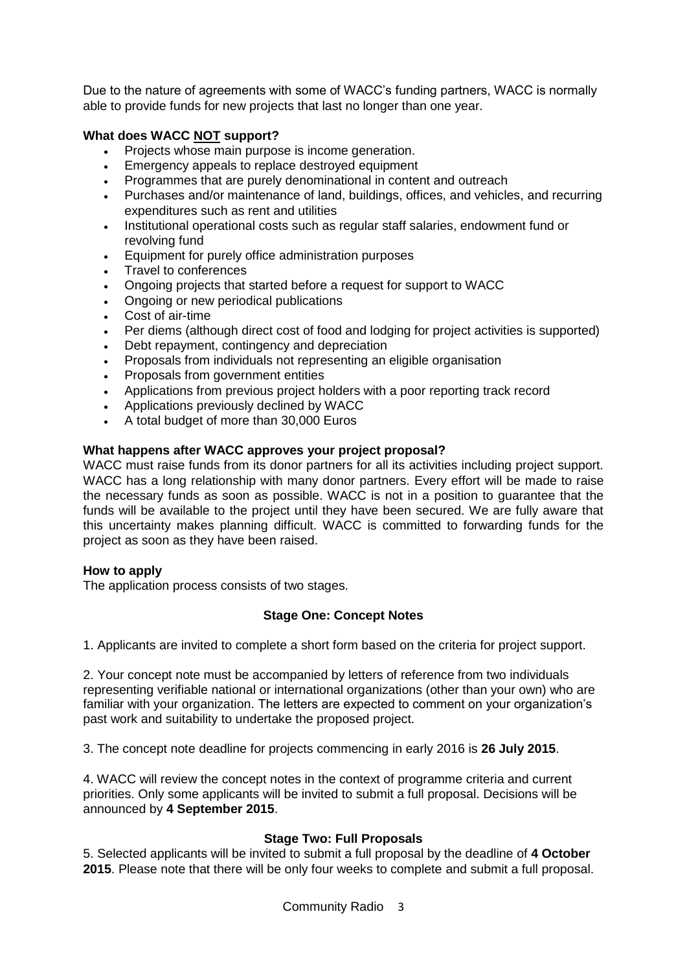Due to the nature of agreements with some of WACC's funding partners, WACC is normally able to provide funds for new projects that last no longer than one year.

## **What does WACC NOT support?**

- Projects whose main purpose is income generation.
- Emergency appeals to replace destroyed equipment
- Programmes that are purely denominational in content and outreach
- Purchases and/or maintenance of land, buildings, offices, and vehicles, and recurring expenditures such as rent and utilities
- Institutional operational costs such as regular staff salaries, endowment fund or revolving fund
- Equipment for purely office administration purposes
- Travel to conferences
- Ongoing projects that started before a request for support to WACC
- Ongoing or new periodical publications
- Cost of air-time
- Per diems (although direct cost of food and lodging for project activities is supported)
- Debt repayment, contingency and depreciation
- Proposals from individuals not representing an eligible organisation
- Proposals from government entities
- Applications from previous project holders with a poor reporting track record
- Applications previously declined by WACC
- A total budget of more than 30,000 Euros

#### **What happens after WACC approves your project proposal?**

WACC must raise funds from its donor partners for all its activities including project support. WACC has a long relationship with many donor partners. Every effort will be made to raise the necessary funds as soon as possible. WACC is not in a position to guarantee that the funds will be available to the project until they have been secured. We are fully aware that this uncertainty makes planning difficult. WACC is committed to forwarding funds for the project as soon as they have been raised.

#### **How to apply**

The application process consists of two stages.

#### **Stage One: Concept Notes**

1. Applicants are invited to complete a short form based on the criteria for project support.

2. Your concept note must be accompanied by letters of reference from two individuals representing verifiable national or international organizations (other than your own) who are familiar with your organization. The letters are expected to comment on your organization's past work and suitability to undertake the proposed project.

3. The concept note deadline for projects commencing in early 2016 is **26 July 2015**.

4. WACC will review the concept notes in the context of programme criteria and current priorities. Only some applicants will be invited to submit a full proposal. Decisions will be announced by **4 September 2015**.

#### **Stage Two: Full Proposals**

5. Selected applicants will be invited to submit a full proposal by the deadline of **4 October 2015**. Please note that there will be only four weeks to complete and submit a full proposal.